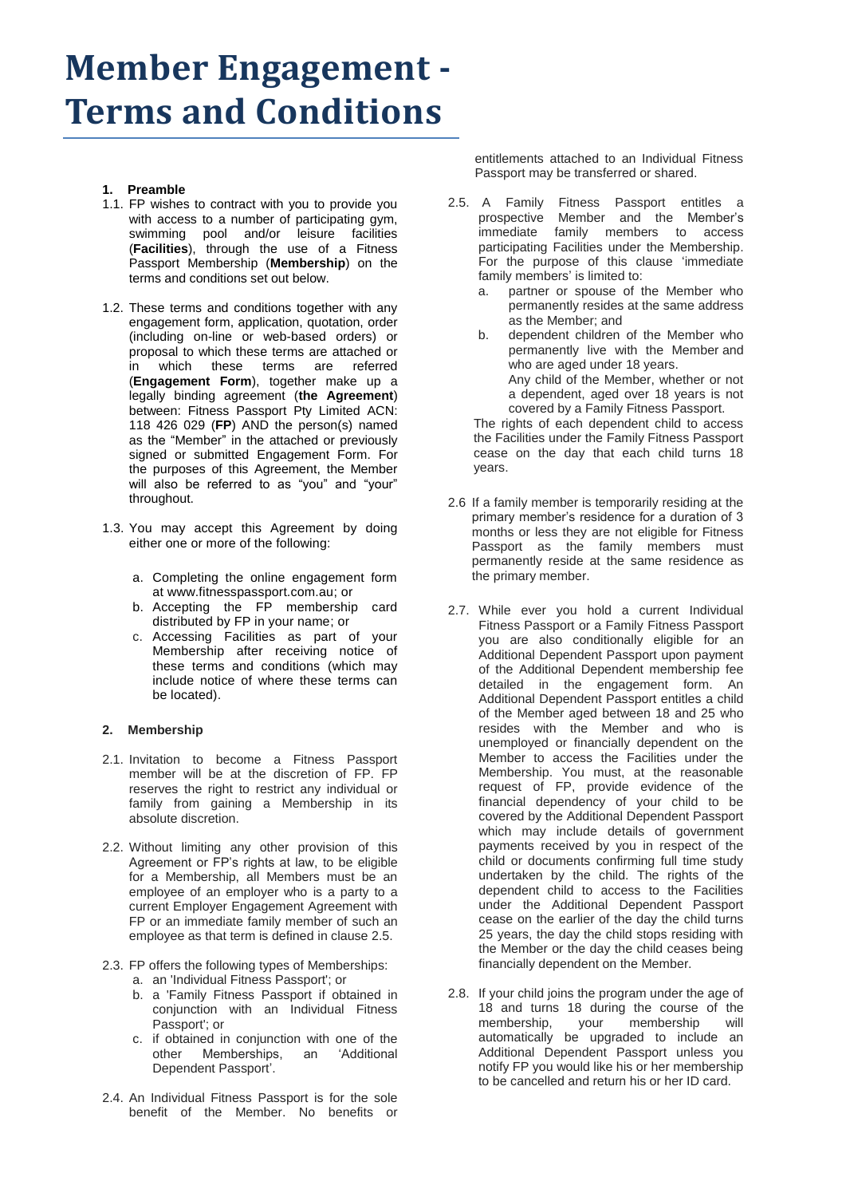# **Member Engagement - Terms and Conditions**

- **1. Preamble**
- 1.1. FP wishes to contract with you to provide you with access to a number of participating gym, swimming pool and/or leisure facilities (**Facilities**), through the use of a Fitness Passport Membership (**Membership**) on the terms and conditions set out below.
- 1.2. These terms and conditions together with any engagement form, application, quotation, order (including on-line or web-based orders) or proposal to which these terms are attached or in which these terms are referred (**Engagement Form**), together make up a legally binding agreement (**the Agreement**) between: Fitness Passport Pty Limited ACN: 118 426 029 (**FP**) AND the person(s) named as the "Member" in the attached or previously signed or submitted Engagement Form. For the purposes of this Agreement, the Member will also be referred to as "you" and "your" throughout.
- 1.3. You may accept this Agreement by doing either one or more of the following:
	- a. Completing the online engagement form at www.fitnesspassport.com.au; or
	- b. Accepting the FP membership card distributed by FP in your name; or
	- c. Accessing Facilities as part of your Membership after receiving notice of these terms and conditions (which may include notice of where these terms can be located).

# **2. Membership**

- 2.1. Invitation to become a Fitness Passport member will be at the discretion of FP. FP reserves the right to restrict any individual or family from gaining a Membership in its absolute discretion.
- 2.2. Without limiting any other provision of this Agreement or FP's rights at law, to be eligible for a Membership, all Members must be an employee of an employer who is a party to a current Employer Engagement Agreement with FP or an immediate family member of such an employee as that term is defined in clause 2.5.
- 2.3. FP offers the following types of Memberships:
	- a. an 'Individual Fitness Passport'; or
	- b. a 'Family Fitness Passport if obtained in conjunction with an Individual Fitness Passport'; or
	- c. if obtained in conjunction with one of the other Memberships, an 'Additional Dependent Passport'.
- 2.4. An Individual Fitness Passport is for the sole benefit of the Member. No benefits or

entitlements attached to an Individual Fitness Passport may be transferred or shared.

- 2.5. A Family Fitness Passport entitles a prospective Member and the Member's immediate family members to access participating Facilities under the Membership. For the purpose of this clause 'immediate family members' is limited to:
	- a. partner or spouse of the Member who permanently resides at the same address as the Member; and
	- b. dependent children of the Member who permanently live with the Member and who are aged under 18 years. Any child of the Member, whether or not a dependent, aged over 18 years is not covered by a Family Fitness Passport.

The rights of each dependent child to access the Facilities under the Family Fitness Passport cease on the day that each child turns 18 years.

- 2.6 If a family member is temporarily residing at the primary member's residence for a duration of 3 months or less they are not eligible for Fitness Passport as the family members must permanently reside at the same residence as the primary member.
- 2.7. While ever you hold a current Individual Fitness Passport or a Family Fitness Passport you are also conditionally eligible for an Additional Dependent Passport upon payment of the Additional Dependent membership fee detailed in the engagement form. An Additional Dependent Passport entitles a child of the Member aged between 18 and 25 who resides with the Member and who is unemployed or financially dependent on the Member to access the Facilities under the Membership. You must, at the reasonable request of FP, provide evidence of the financial dependency of your child to be covered by the Additional Dependent Passport which may include details of government payments received by you in respect of the child or documents confirming full time study undertaken by the child. The rights of the dependent child to access to the Facilities under the Additional Dependent Passport cease on the earlier of the day the child turns 25 years, the day the child stops residing with the Member or the day the child ceases being financially dependent on the Member.
- 2.8. If your child joins the program under the age of 18 and turns 18 during the course of the membership, your membership will automatically be upgraded to include an Additional Dependent Passport unless you notify FP you would like his or her membership to be cancelled and return his or her ID card.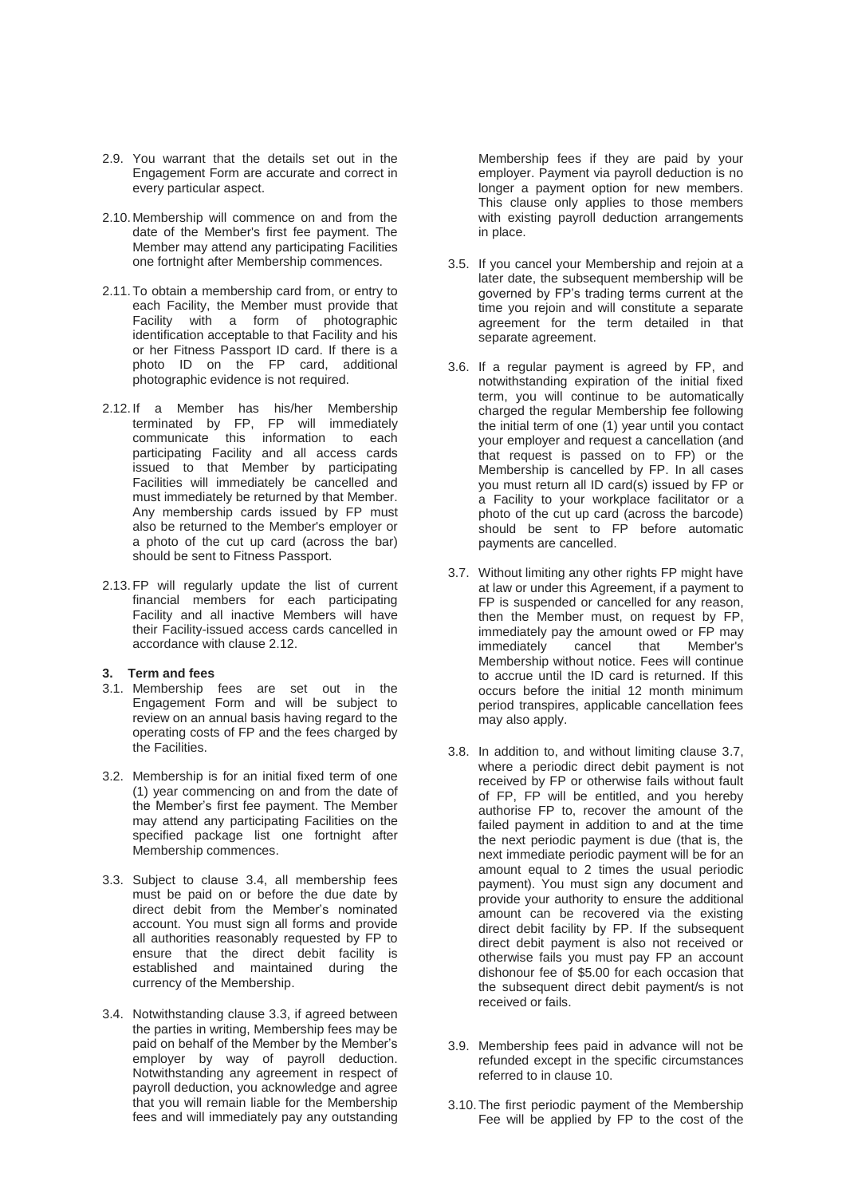- 2.9. You warrant that the details set out in the Engagement Form are accurate and correct in every particular aspect.
- 2.10.Membership will commence on and from the date of the Member's first fee payment. The Member may attend any participating Facilities one fortnight after Membership commences.
- 2.11.To obtain a membership card from, or entry to each Facility, the Member must provide that Facility with a form of photographic identification acceptable to that Facility and his or her Fitness Passport ID card. If there is a photo ID on the FP card, additional photographic evidence is not required.
- 2.12.If a Member has his/her Membership terminated by FP, FP will immediately communicate this information to each participating Facility and all access cards issued to that Member by participating Facilities will immediately be cancelled and must immediately be returned by that Member. Any membership cards issued by FP must also be returned to the Member's employer or a photo of the cut up card (across the bar) should be sent to Fitness Passport.
- 2.13.FP will regularly update the list of current financial members for each participating Facility and all inactive Members will have their Facility-issued access cards cancelled in accordance with clause 2.12.

# **3. Term and fees**

- 3.1. Membership fees are set out in the Engagement Form and will be subject to review on an annual basis having regard to the operating costs of FP and the fees charged by the Facilities.
- 3.2. Membership is for an initial fixed term of one (1) year commencing on and from the date of the Member's first fee payment. The Member may attend any participating Facilities on the specified package list one fortnight after Membership commences.
- 3.3. Subject to clause 3.4, all membership fees must be paid on or before the due date by direct debit from the Member's nominated account. You must sign all forms and provide all authorities reasonably requested by FP to ensure that the direct debit facility is established and maintained during the currency of the Membership.
- 3.4. Notwithstanding clause 3.3, if agreed between the parties in writing, Membership fees may be paid on behalf of the Member by the Member's employer by way of payroll deduction. Notwithstanding any agreement in respect of payroll deduction, you acknowledge and agree that you will remain liable for the Membership fees and will immediately pay any outstanding

Membership fees if they are paid by your employer. Payment via payroll deduction is no longer a payment option for new members. This clause only applies to those members with existing payroll deduction arrangements in place.

- 3.5. If you cancel your Membership and rejoin at a later date, the subsequent membership will be governed by FP's trading terms current at the time you rejoin and will constitute a separate agreement for the term detailed in that separate agreement.
- 3.6. If a regular payment is agreed by FP, and notwithstanding expiration of the initial fixed term, you will continue to be automatically charged the regular Membership fee following the initial term of one (1) year until you contact your employer and request a cancellation (and that request is passed on to FP) or the Membership is cancelled by FP. In all cases you must return all ID card(s) issued by FP or a Facility to your workplace facilitator or a photo of the cut up card (across the barcode) should be sent to FP before automatic payments are cancelled.
- 3.7. Without limiting any other rights FP might have at law or under this Agreement, if a payment to FP is suspended or cancelled for any reason, then the Member must, on request by FP, immediately pay the amount owed or FP may<br>immediately cancel that Member's immediately Membership without notice. Fees will continue to accrue until the ID card is returned. If this occurs before the initial 12 month minimum period transpires, applicable cancellation fees may also apply.
- 3.8. In addition to, and without limiting clause 3.7, where a periodic direct debit payment is not received by FP or otherwise fails without fault of FP, FP will be entitled, and you hereby authorise FP to, recover the amount of the failed payment in addition to and at the time the next periodic payment is due (that is, the next immediate periodic payment will be for an amount equal to 2 times the usual periodic payment). You must sign any document and provide your authority to ensure the additional amount can be recovered via the existing direct debit facility by FP. If the subsequent direct debit payment is also not received or otherwise fails you must pay FP an account dishonour fee of \$5.00 for each occasion that the subsequent direct debit payment/s is not received or fails.
- 3.9. Membership fees paid in advance will not be refunded except in the specific circumstances referred to in clause 10.
- 3.10.The first periodic payment of the Membership Fee will be applied by FP to the cost of the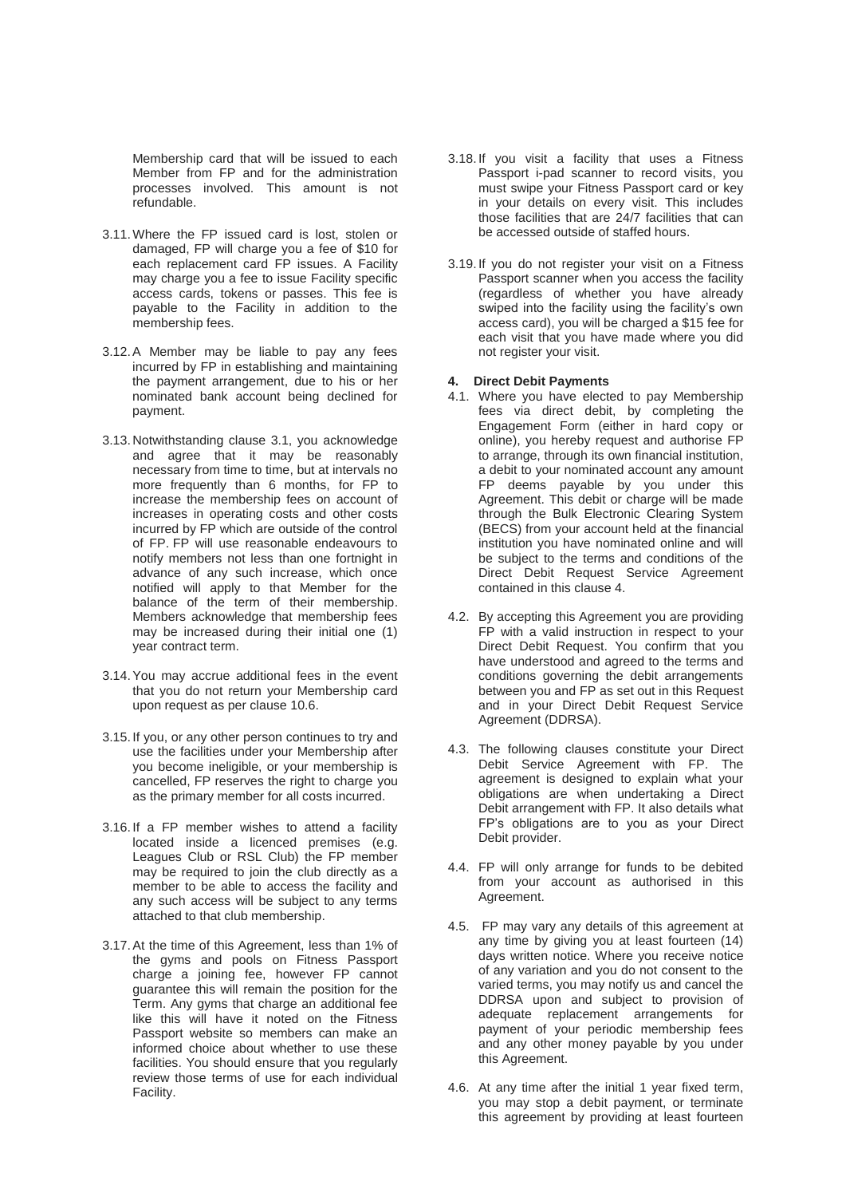Membership card that will be issued to each Member from FP and for the administration processes involved. This amount is not refundable.

- 3.11.Where the FP issued card is lost, stolen or damaged, FP will charge you a fee of \$10 for each replacement card FP issues. A Facility may charge you a fee to issue Facility specific access cards, tokens or passes. This fee is payable to the Facility in addition to the membership fees.
- 3.12.A Member may be liable to pay any fees incurred by FP in establishing and maintaining the payment arrangement, due to his or her nominated bank account being declined for payment.
- 3.13.Notwithstanding clause 3.1, you acknowledge and agree that it may be reasonably necessary from time to time, but at intervals no more frequently than 6 months, for FP to increase the membership fees on account of increases in operating costs and other costs incurred by FP which are outside of the control of FP. FP will use reasonable endeavours to notify members not less than one fortnight in advance of any such increase, which once notified will apply to that Member for the balance of the term of their membership. Members acknowledge that membership fees may be increased during their initial one (1) year contract term.
- 3.14.You may accrue additional fees in the event that you do not return your Membership card upon request as per clause 10.6.
- 3.15.If you, or any other person continues to try and use the facilities under your Membership after you become ineligible, or your membership is cancelled, FP reserves the right to charge you as the primary member for all costs incurred.
- 3.16.If a FP member wishes to attend a facility located inside a licenced premises (e.g. Leagues Club or RSL Club) the FP member may be required to join the club directly as a member to be able to access the facility and any such access will be subject to any terms attached to that club membership.
- 3.17.At the time of this Agreement, less than 1% of the gyms and pools on Fitness Passport charge a joining fee, however FP cannot guarantee this will remain the position for the Term. Any gyms that charge an additional fee like this will have it noted on the Fitness Passport website so members can make an informed choice about whether to use these facilities. You should ensure that you regularly review those terms of use for each individual Facility.
- 3.18. If you visit a facility that uses a Fitness Passport i-pad scanner to record visits, you must swipe your Fitness Passport card or key in your details on every visit. This includes those facilities that are 24/7 facilities that can be accessed outside of staffed hours.
- 3.19. If you do not register your visit on a Fitness Passport scanner when you access the facility (regardless of whether you have already swiped into the facility using the facility's own access card), you will be charged a \$15 fee for each visit that you have made where you did not register your visit.

# **4. Direct Debit Payments**

- 4.1. Where you have elected to pay Membership fees via direct debit, by completing the Engagement Form (either in hard copy or online), you hereby request and authorise FP to arrange, through its own financial institution, a debit to your nominated account any amount FP deems payable by you under this Agreement. This debit or charge will be made through the Bulk Electronic Clearing System (BECS) from your account held at the financial institution you have nominated online and will be subject to the terms and conditions of the Direct Debit Request Service Agreement contained in this clause 4.
- 4.2. By accepting this Agreement you are providing FP with a valid instruction in respect to your Direct Debit Request. You confirm that you have understood and agreed to the terms and conditions governing the debit arrangements between you and FP as set out in this Request and in your Direct Debit Request Service Agreement (DDRSA).
- 4.3. The following clauses constitute your Direct Debit Service Agreement with FP. The agreement is designed to explain what your obligations are when undertaking a Direct Debit arrangement with FP. It also details what FP's obligations are to you as your Direct Debit provider.
- 4.4. FP will only arrange for funds to be debited from your account as authorised in this Agreement.
- 4.5. FP may vary any details of this agreement at any time by giving you at least fourteen (14) days written notice. Where you receive notice of any variation and you do not consent to the varied terms, you may notify us and cancel the DDRSA upon and subject to provision of adequate replacement arrangements for payment of your periodic membership fees and any other money payable by you under this Agreement.
- 4.6. At any time after the initial 1 year fixed term, you may stop a debit payment, or terminate this agreement by providing at least fourteen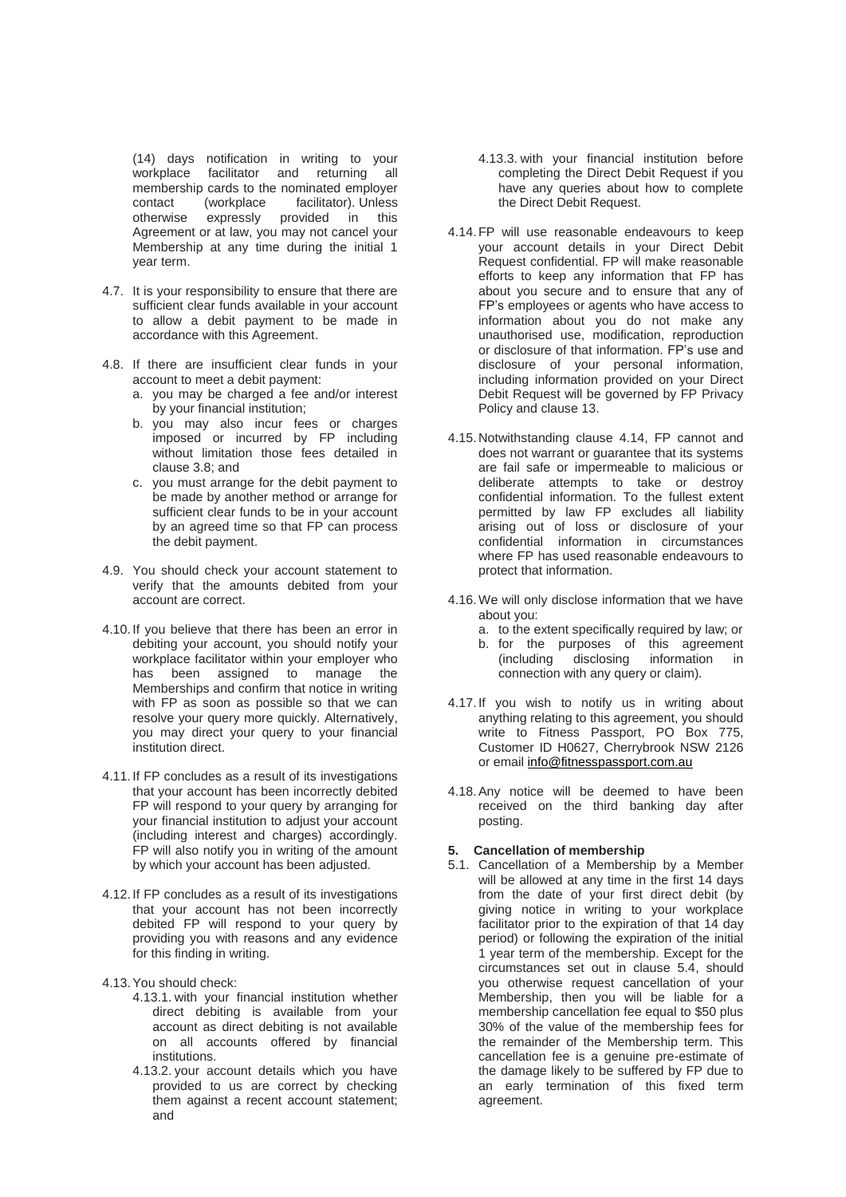(14) days notification in writing to your workplace facilitator and returning all membership cards to the nominated employer contact (workplace facilitator). Unless<br>otherwise expressly provided in this expressly provided in Agreement or at law, you may not cancel your Membership at any time during the initial 1 year term.

- 4.7. It is your responsibility to ensure that there are sufficient clear funds available in your account to allow a debit payment to be made in accordance with this Agreement.
- 4.8. If there are insufficient clear funds in your account to meet a debit payment:
	- a. you may be charged a fee and/or interest by your financial institution;
	- b. you may also incur fees or charges imposed or incurred by FP including without limitation those fees detailed in clause 3.8; and
	- c. you must arrange for the debit payment to be made by another method or arrange for sufficient clear funds to be in your account by an agreed time so that FP can process the debit payment.
- 4.9. You should check your account statement to verify that the amounts debited from your account are correct.
- 4.10.If you believe that there has been an error in debiting your account, you should notify your workplace facilitator within your employer who has been assigned to manage the Memberships and confirm that notice in writing with FP as soon as possible so that we can resolve your query more quickly. Alternatively, you may direct your query to your financial institution direct.
- 4.11.If FP concludes as a result of its investigations that your account has been incorrectly debited FP will respond to your query by arranging for your financial institution to adjust your account (including interest and charges) accordingly. FP will also notify you in writing of the amount by which your account has been adjusted.
- 4.12.If FP concludes as a result of its investigations that your account has not been incorrectly debited FP will respond to your query by providing you with reasons and any evidence for this finding in writing.
- 4.13.You should check:
	- 4.13.1. with your financial institution whether direct debiting is available from your account as direct debiting is not available on all accounts offered by financial institutions.
	- 4.13.2. your account details which you have provided to us are correct by checking them against a recent account statement; and
- 4.13.3. with your financial institution before completing the Direct Debit Request if you have any queries about how to complete the Direct Debit Request.
- 4.14.FP will use reasonable endeavours to keep your account details in your Direct Debit Request confidential. FP will make reasonable efforts to keep any information that FP has about you secure and to ensure that any of FP's employees or agents who have access to information about you do not make any unauthorised use, modification, reproduction or disclosure of that information. FP's use and disclosure of your personal information, including information provided on your Direct Debit Request will be governed by FP Privacy Policy and clause 13.
- 4.15.Notwithstanding clause 4.14, FP cannot and does not warrant or guarantee that its systems are fail safe or impermeable to malicious or deliberate attempts to take or destroy confidential information. To the fullest extent permitted by law FP excludes all liability arising out of loss or disclosure of your confidential information in circumstances where FP has used reasonable endeavours to protect that information.
- 4.16.We will only disclose information that we have about you:
	- a. to the extent specifically required by law; or
	- b. for the purposes of this agreement (including disclosing information in connection with any query or claim).
- 4.17. If you wish to notify us in writing about anything relating to this agreement, you should write to Fitness Passport, PO Box 775, Customer ID H0627, Cherrybrook NSW 2126 or email [info@fitnesspassport.com.au](mailto:info@fitnesspassport.com.au)
- 4.18.Any notice will be deemed to have been received on the third banking day after posting.

#### **5. Cancellation of membership**

5.1. Cancellation of a Membership by a Member will be allowed at any time in the first 14 days from the date of your first direct debit (by giving notice in writing to your workplace facilitator prior to the expiration of that 14 day period) or following the expiration of the initial 1 year term of the membership. Except for the circumstances set out in clause 5.4, should you otherwise request cancellation of your Membership, then you will be liable for a membership cancellation fee equal to \$50 plus 30% of the value of the membership fees for the remainder of the Membership term. This cancellation fee is a genuine pre-estimate of the damage likely to be suffered by FP due to an early termination of this fixed term agreement.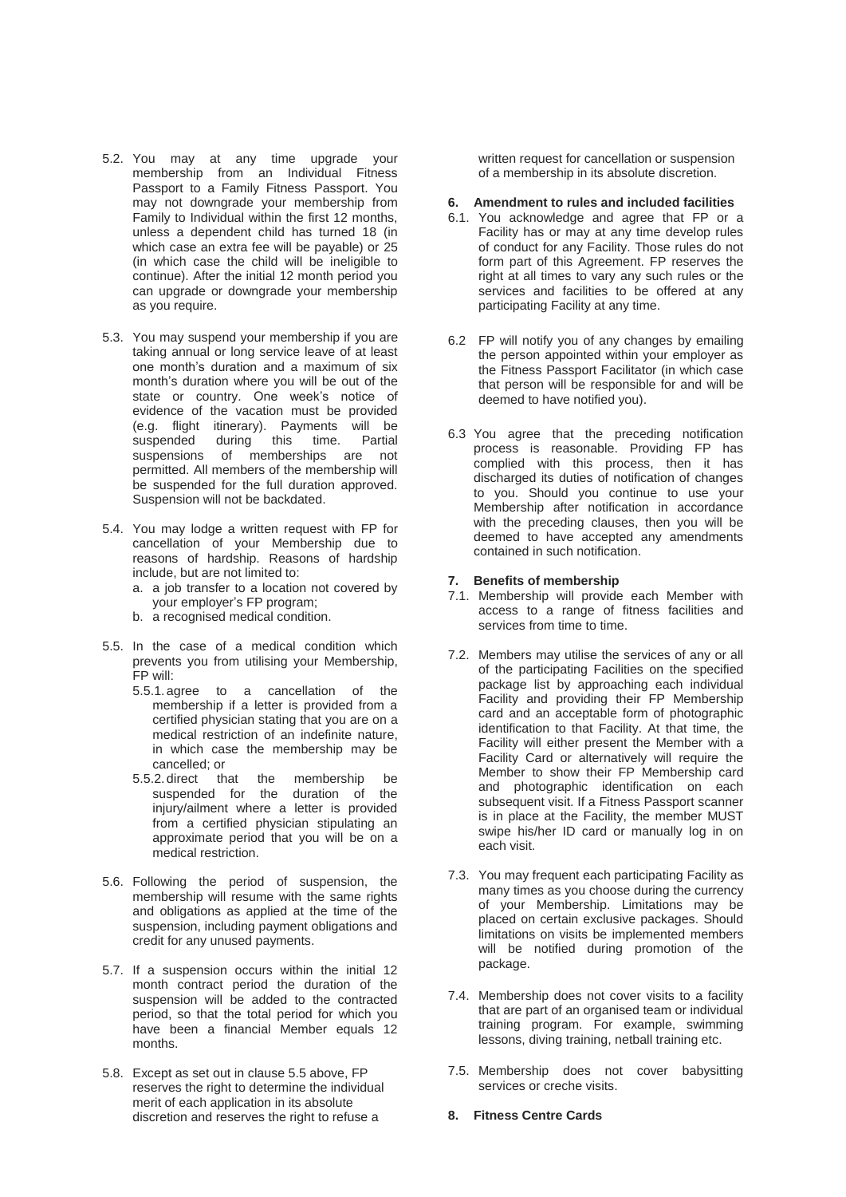- 5.2. You may at any time upgrade your membership from an Individual Fitness Passport to a Family Fitness Passport. You may not downgrade your membership from Family to Individual within the first 12 months, unless a dependent child has turned 18 (in which case an extra fee will be payable) or 25 (in which case the child will be ineligible to continue). After the initial 12 month period you can upgrade or downgrade your membership as you require.
- 5.3. You may suspend your membership if you are taking annual or long service leave of at least one month's duration and a maximum of six month's duration where you will be out of the state or country. One week's notice of evidence of the vacation must be provided (e.g. flight itinerary). Payments will be suspended during this time. Partial suspensions of memberships are not permitted. All members of the membership will be suspended for the full duration approved. Suspension will not be backdated.
- 5.4. You may lodge a written request with FP for cancellation of your Membership due to reasons of hardship. Reasons of hardship include, but are not limited to:
	- a. a job transfer to a location not covered by your employer's FP program;
	- b. a recognised medical condition.
- 5.5. In the case of a medical condition which prevents you from utilising your Membership, FP will:
	- 5.5.1.agree to a cancellation of the membership if a letter is provided from a certified physician stating that you are on a medical restriction of an indefinite nature, in which case the membership may be cancelled; or
	- 5.5.2.direct that the membership be suspended for the duration of the injury/ailment where a letter is provided from a certified physician stipulating an approximate period that you will be on a medical restriction.
- 5.6. Following the period of suspension, the membership will resume with the same rights and obligations as applied at the time of the suspension, including payment obligations and credit for any unused payments.
- 5.7. If a suspension occurs within the initial 12 month contract period the duration of the suspension will be added to the contracted period, so that the total period for which you have been a financial Member equals 12 months.
- 5.8. Except as set out in clause 5.5 above, FP reserves the right to determine the individual merit of each application in its absolute discretion and reserves the right to refuse a

written request for cancellation or suspension of a membership in its absolute discretion.

### **6. Amendment to rules and included facilities**

- 6.1. You acknowledge and agree that FP or a Facility has or may at any time develop rules of conduct for any Facility. Those rules do not form part of this Agreement. FP reserves the right at all times to vary any such rules or the services and facilities to be offered at any participating Facility at any time.
- 6.2 FP will notify you of any changes by emailing the person appointed within your employer as the Fitness Passport Facilitator (in which case that person will be responsible for and will be deemed to have notified you).
- 6.3 You agree that the preceding notification process is reasonable. Providing FP has complied with this process, then it has discharged its duties of notification of changes to you. Should you continue to use your Membership after notification in accordance with the preceding clauses, then you will be deemed to have accepted any amendments contained in such notification.

#### **7. Benefits of membership**

- 7.1. Membership will provide each Member with access to a range of fitness facilities and services from time to time.
- 7.2. Members may utilise the services of any or all of the participating Facilities on the specified package list by approaching each individual Facility and providing their FP Membership card and an acceptable form of photographic identification to that Facility. At that time, the Facility will either present the Member with a Facility Card or alternatively will require the Member to show their FP Membership card and photographic identification on each subsequent visit. If a Fitness Passport scanner is in place at the Facility, the member MUST swipe his/her ID card or manually log in on each visit.
- 7.3. You may frequent each participating Facility as many times as you choose during the currency of your Membership. Limitations may be placed on certain exclusive packages. Should limitations on visits be implemented members will be notified during promotion of the package.
- 7.4. Membership does not cover visits to a facility that are part of an organised team or individual training program. For example, swimming lessons, diving training, netball training etc.
- 7.5. Membership does not cover babysitting services or creche visits.
- **8. Fitness Centre Cards**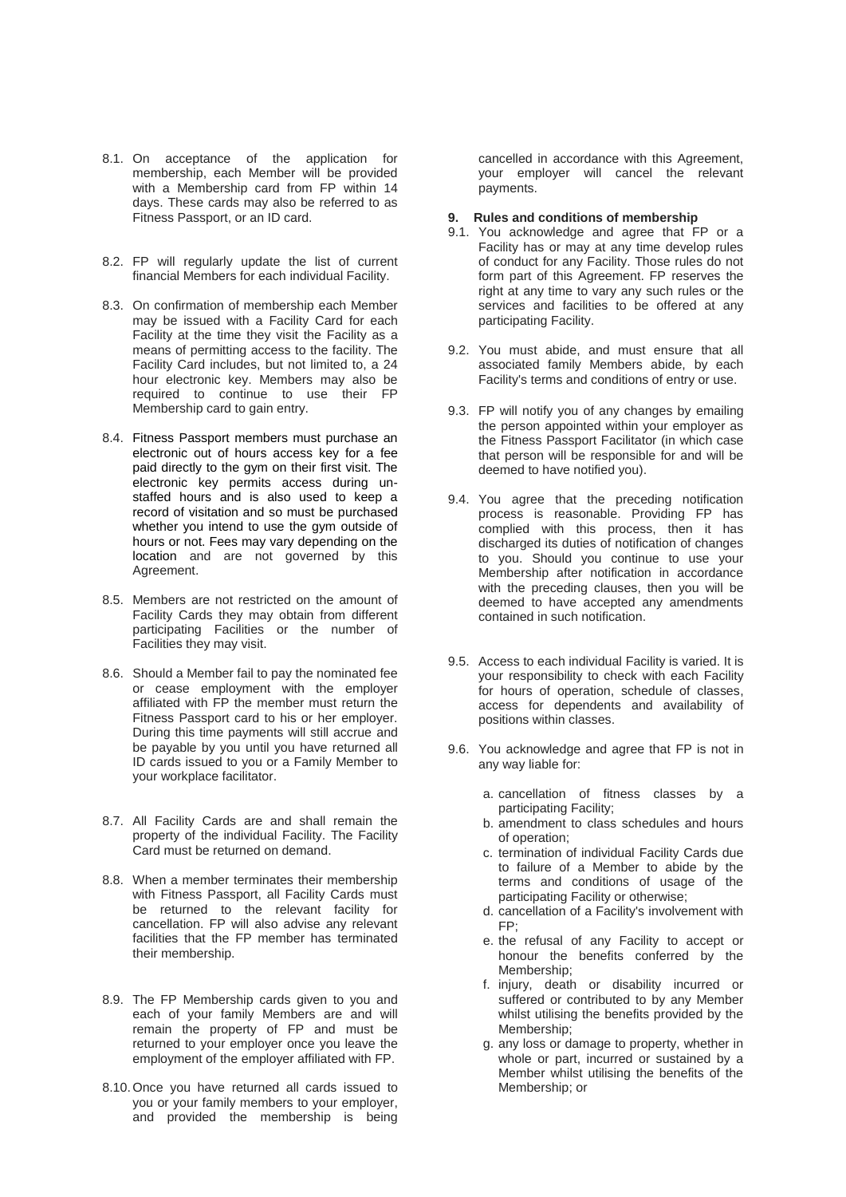- 8.1. On acceptance of the application for membership, each Member will be provided with a Membership card from FP within 14 days. These cards may also be referred to as Fitness Passport, or an ID card.
- 8.2. FP will regularly update the list of current financial Members for each individual Facility.
- 8.3. On confirmation of membership each Member may be issued with a Facility Card for each Facility at the time they visit the Facility as a means of permitting access to the facility. The Facility Card includes, but not limited to, a 24 hour electronic key. Members may also be required to continue to use their FP Membership card to gain entry.
- 8.4. Fitness Passport members must purchase an electronic out of hours access key for a fee paid directly to the gym on their first visit. The electronic key permits access during unstaffed hours and is also used to keep a record of visitation and so must be purchased whether you intend to use the gym outside of hours or not. Fees may vary depending on the location and are not governed by this Agreement.
- 8.5. Members are not restricted on the amount of Facility Cards they may obtain from different participating Facilities or the number of Facilities they may visit.
- 8.6. Should a Member fail to pay the nominated fee or cease employment with the employer affiliated with FP the member must return the Fitness Passport card to his or her employer. During this time payments will still accrue and be payable by you until you have returned all ID cards issued to you or a Family Member to your workplace facilitator.
- 8.7. All Facility Cards are and shall remain the property of the individual Facility. The Facility Card must be returned on demand.
- 8.8. When a member terminates their membership with Fitness Passport, all Facility Cards must be returned to the relevant facility for cancellation. FP will also advise any relevant facilities that the FP member has terminated their membership.
- 8.9. The FP Membership cards given to you and each of your family Members are and will remain the property of FP and must be returned to your employer once you leave the employment of the employer affiliated with FP.
- 8.10.Once you have returned all cards issued to you or your family members to your employer, and provided the membership is being

cancelled in accordance with this Agreement, your employer will cancel the relevant payments.

- **9. Rules and conditions of membership**
- 9.1. You acknowledge and agree that FP or a Facility has or may at any time develop rules of conduct for any Facility. Those rules do not form part of this Agreement. FP reserves the right at any time to vary any such rules or the services and facilities to be offered at any participating Facility.
- 9.2. You must abide, and must ensure that all associated family Members abide, by each Facility's terms and conditions of entry or use.
- 9.3. FP will notify you of any changes by emailing the person appointed within your employer as the Fitness Passport Facilitator (in which case that person will be responsible for and will be deemed to have notified you).
- 9.4. You agree that the preceding notification process is reasonable. Providing FP has complied with this process, then it has discharged its duties of notification of changes to you. Should you continue to use your Membership after notification in accordance with the preceding clauses, then you will be deemed to have accepted any amendments contained in such notification.
- 9.5. Access to each individual Facility is varied. It is your responsibility to check with each Facility for hours of operation, schedule of classes, access for dependents and availability of positions within classes.
- 9.6. You acknowledge and agree that FP is not in any way liable for:
	- a. cancellation of fitness classes by a participating Facility;
	- b. amendment to class schedules and hours of operation;
	- c. termination of individual Facility Cards due to failure of a Member to abide by the terms and conditions of usage of the participating Facility or otherwise;
	- d. cancellation of a Facility's involvement with FP;
	- e. the refusal of any Facility to accept or honour the benefits conferred by the Membership;
	- f. injury, death or disability incurred or suffered or contributed to by any Member whilst utilising the benefits provided by the Membership;
	- g. any loss or damage to property, whether in whole or part, incurred or sustained by a Member whilst utilising the benefits of the Membership; or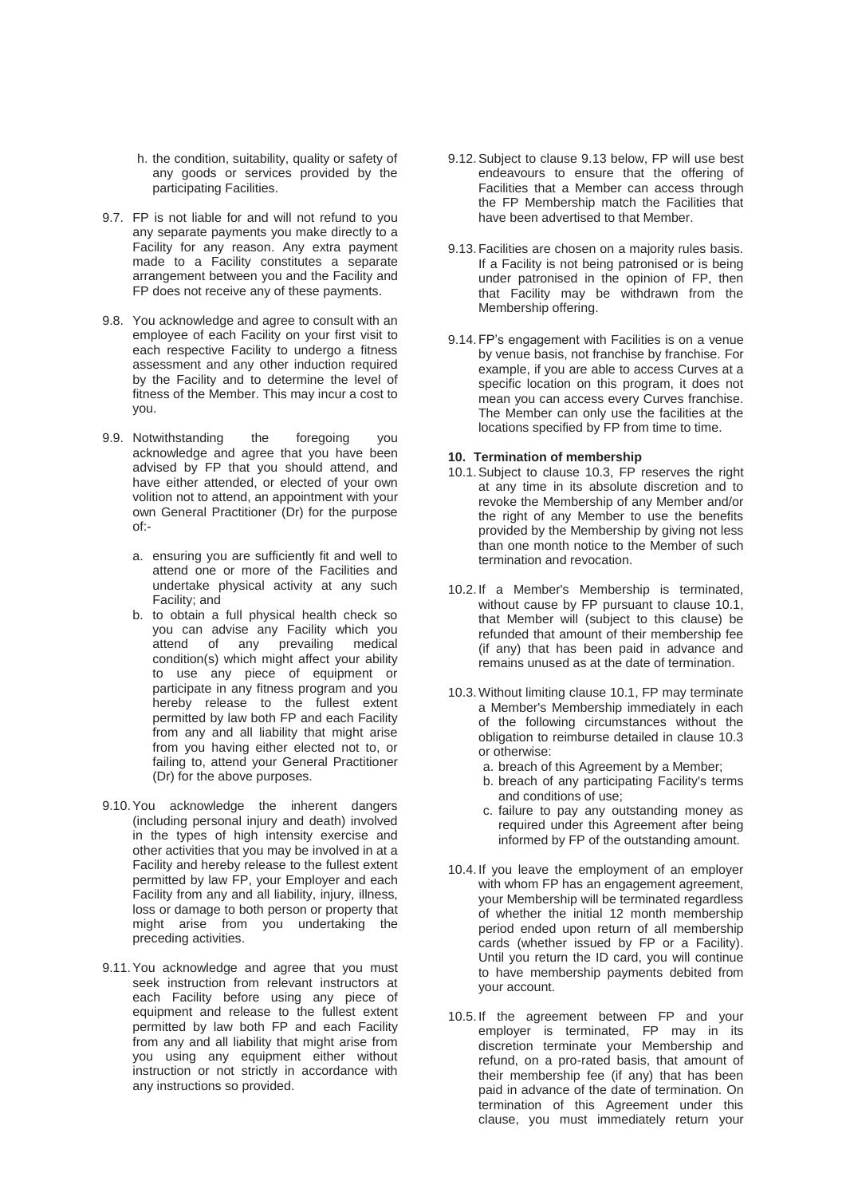- h. the condition, suitability, quality or safety of any goods or services provided by the participating Facilities.
- 9.7. FP is not liable for and will not refund to you any separate payments you make directly to a Facility for any reason. Any extra payment made to a Facility constitutes a separate arrangement between you and the Facility and FP does not receive any of these payments.
- 9.8. You acknowledge and agree to consult with an employee of each Facility on your first visit to each respective Facility to undergo a fitness assessment and any other induction required by the Facility and to determine the level of fitness of the Member. This may incur a cost to you.
- 9.9. Notwithstanding the foregoing you acknowledge and agree that you have been advised by FP that you should attend, and have either attended, or elected of your own volition not to attend, an appointment with your own General Practitioner (Dr) for the purpose of:
	- a. ensuring you are sufficiently fit and well to attend one or more of the Facilities and undertake physical activity at any such Facility; and
	- b. to obtain a full physical health check so you can advise any Facility which you attend of any prevailing medical condition(s) which might affect your ability to use any piece of equipment or participate in any fitness program and you hereby release to the fullest extent permitted by law both FP and each Facility from any and all liability that might arise from you having either elected not to, or failing to, attend your General Practitioner (Dr) for the above purposes.
- 9.10.You acknowledge the inherent dangers (including personal injury and death) involved in the types of high intensity exercise and other activities that you may be involved in at a Facility and hereby release to the fullest extent permitted by law FP, your Employer and each Facility from any and all liability, injury, illness, loss or damage to both person or property that might arise from you undertaking the preceding activities.
- 9.11.You acknowledge and agree that you must seek instruction from relevant instructors at each Facility before using any piece of equipment and release to the fullest extent permitted by law both FP and each Facility from any and all liability that might arise from you using any equipment either without instruction or not strictly in accordance with any instructions so provided.
- 9.12.Subject to clause 9.13 below, FP will use best endeavours to ensure that the offering of Facilities that a Member can access through the FP Membership match the Facilities that have been advertised to that Member.
- 9.13.Facilities are chosen on a majority rules basis. If a Facility is not being patronised or is being under patronised in the opinion of FP, then that Facility may be withdrawn from the Membership offering.
- 9.14.FP's engagement with Facilities is on a venue by venue basis, not franchise by franchise. For example, if you are able to access Curves at a specific location on this program, it does not mean you can access every Curves franchise. The Member can only use the facilities at the locations specified by FP from time to time.

#### **10. Termination of membership**

- 10.1.Subject to clause 10.3, FP reserves the right at any time in its absolute discretion and to revoke the Membership of any Member and/or the right of any Member to use the benefits provided by the Membership by giving not less than one month notice to the Member of such termination and revocation.
- 10.2. If a Member's Membership is terminated, without cause by FP pursuant to clause 10.1, that Member will (subject to this clause) be refunded that amount of their membership fee (if any) that has been paid in advance and remains unused as at the date of termination.
- 10.3.Without limiting clause 10.1, FP may terminate a Member's Membership immediately in each of the following circumstances without the obligation to reimburse detailed in clause 10.3 or otherwise:
	- a. breach of this Agreement by a Member;
	- b. breach of any participating Facility's terms and conditions of use;
	- c. failure to pay any outstanding money as required under this Agreement after being informed by FP of the outstanding amount.
- 10.4. If you leave the employment of an employer with whom FP has an engagement agreement, your Membership will be terminated regardless of whether the initial 12 month membership period ended upon return of all membership cards (whether issued by FP or a Facility). Until you return the ID card, you will continue to have membership payments debited from your account.
- 10.5. If the agreement between FP and your employer is terminated, FP may in its discretion terminate your Membership and refund, on a pro-rated basis, that amount of their membership fee (if any) that has been paid in advance of the date of termination. On termination of this Agreement under this clause, you must immediately return your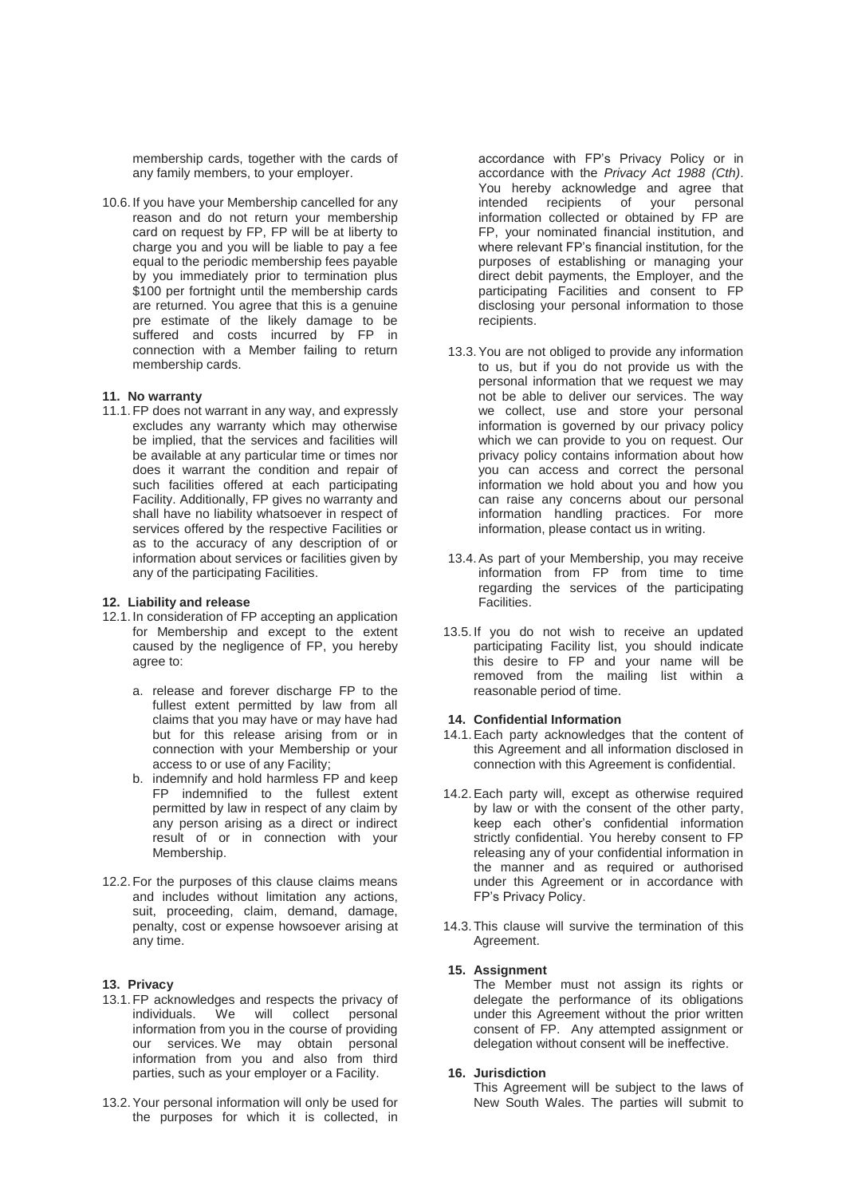membership cards, together with the cards of any family members, to your employer.

10.6.If you have your Membership cancelled for any reason and do not return your membership card on request by FP, FP will be at liberty to charge you and you will be liable to pay a fee equal to the periodic membership fees payable by you immediately prior to termination plus \$100 per fortnight until the membership cards are returned. You agree that this is a genuine pre estimate of the likely damage to be suffered and costs incurred by FP in connection with a Member failing to return membership cards.

# **11. No warranty**

11.1.FP does not warrant in any way, and expressly excludes any warranty which may otherwise be implied, that the services and facilities will be available at any particular time or times nor does it warrant the condition and repair of such facilities offered at each participating Facility. Additionally, FP gives no warranty and shall have no liability whatsoever in respect of services offered by the respective Facilities or as to the accuracy of any description of or information about services or facilities given by any of the participating Facilities.

#### **12. Liability and release**

- 12.1.In consideration of FP accepting an application for Membership and except to the extent caused by the negligence of FP, you hereby agree to:
	- a. release and forever discharge FP to the fullest extent permitted by law from all claims that you may have or may have had but for this release arising from or in connection with your Membership or your access to or use of any Facility;
	- b. indemnify and hold harmless FP and keep FP indemnified to the fullest extent permitted by law in respect of any claim by any person arising as a direct or indirect result of or in connection with your Membership.
- 12.2.For the purposes of this clause claims means and includes without limitation any actions, suit, proceeding, claim, demand, damage, penalty, cost or expense howsoever arising at any time.

#### **13. Privacy**

- 13.1.FP acknowledges and respects the privacy of individuals. We will collect personal information from you in the course of providing our services. We may obtain personal information from you and also from third parties, such as your employer or a Facility.
- 13.2.Your personal information will only be used for the purposes for which it is collected, in

accordance with FP's Privacy Policy or in accordance with the *Privacy Act 1988 (Cth)*. You hereby acknowledge and agree that intended recipients of your personal information collected or obtained by FP are FP, your nominated financial institution, and where relevant FP's financial institution, for the purposes of establishing or managing your direct debit payments, the Employer, and the participating Facilities and consent to FP disclosing your personal information to those recipients.

- 13.3.You are not obliged to provide any information to us, but if you do not provide us with the personal information that we request we may not be able to deliver our services. The way we collect, use and store your personal information is governed by our privacy policy which we can provide to you on request. Our privacy policy contains information about how you can access and correct the personal information we hold about you and how you can raise any concerns about our personal information handling practices. For more information, please contact us in writing.
- 13.4.As part of your Membership, you may receive information from FP from time to time regarding the services of the participating Facilities.
- 13.5. If you do not wish to receive an updated participating Facility list, you should indicate this desire to FP and your name will be removed from the mailing list within a reasonable period of time.

#### **14. Confidential Information**

- 14.1.Each party acknowledges that the content of this Agreement and all information disclosed in connection with this Agreement is confidential.
- 14.2.Each party will, except as otherwise required by law or with the consent of the other party, keep each other's confidential information strictly confidential. You hereby consent to FP releasing any of your confidential information in the manner and as required or authorised under this Agreement or in accordance with FP's Privacy Policy.
- 14.3.This clause will survive the termination of this Agreement.

#### **15. Assignment**

The Member must not assign its rights or delegate the performance of its obligations under this Agreement without the prior written consent of FP. Any attempted assignment or delegation without consent will be ineffective.

# **16. Jurisdiction**

This Agreement will be subject to the laws of New South Wales. The parties will submit to